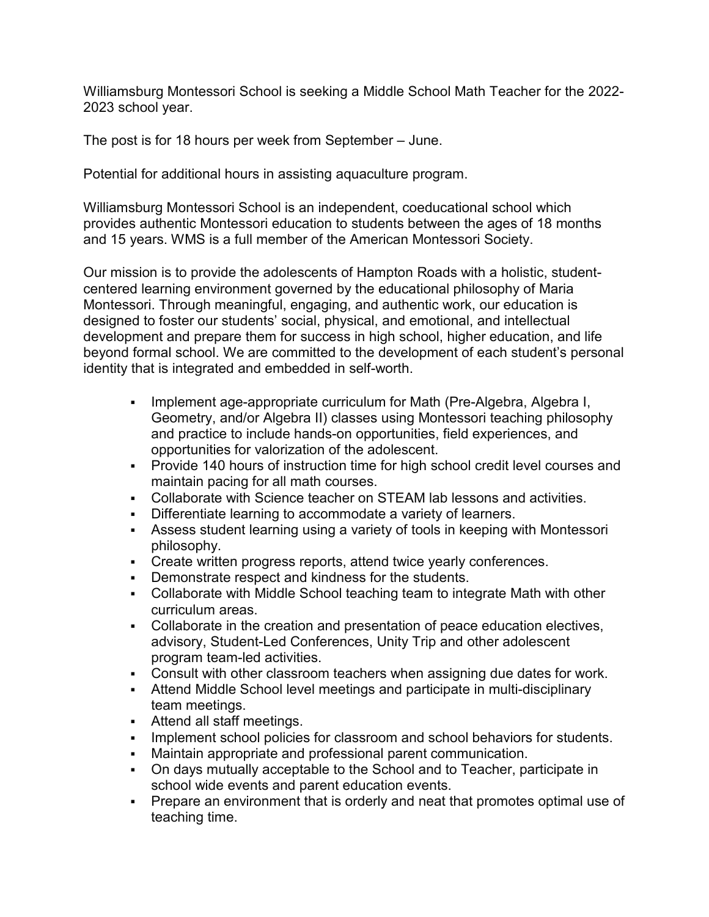Williamsburg Montessori School is seeking a Middle School Math Teacher for the 2022- 2023 school year.

The post is for 18 hours per week from September – June.

Potential for additional hours in assisting aquaculture program.

Williamsburg Montessori School is an independent, coeducational school which provides authentic Montessori education to students between the ages of 18 months and 15 years. WMS is a full member of the American Montessori Society.

Our mission is to provide the adolescents of Hampton Roads with a holistic, studentcentered learning environment governed by the educational philosophy of Maria Montessori. Through meaningful, engaging, and authentic work, our education is designed to foster our students' social, physical, and emotional, and intellectual development and prepare them for success in high school, higher education, and life beyond formal school. We are committed to the development of each student's personal identity that is integrated and embedded in self-worth.

- Implement age-appropriate curriculum for Math (Pre-Algebra, Algebra I, Geometry, and/or Algebra II) classes using Montessori teaching philosophy and practice to include hands-on opportunities, field experiences, and opportunities for valorization of the adolescent.
- Provide 140 hours of instruction time for high school credit level courses and maintain pacing for all math courses.
- Collaborate with Science teacher on STEAM lab lessons and activities.
- Differentiate learning to accommodate a variety of learners.
- Assess student learning using a variety of tools in keeping with Montessori philosophy.
- Create written progress reports, attend twice yearly conferences.
- Demonstrate respect and kindness for the students.
- Collaborate with Middle School teaching team to integrate Math with other curriculum areas.
- Collaborate in the creation and presentation of peace education electives, advisory, Student-Led Conferences, Unity Trip and other adolescent program team-led activities.
- Consult with other classroom teachers when assigning due dates for work.
- Attend Middle School level meetings and participate in multi-disciplinary team meetings.
- Attend all staff meetings.
- Implement school policies for classroom and school behaviors for students.
- Maintain appropriate and professional parent communication.
- On days mutually acceptable to the School and to Teacher, participate in school wide events and parent education events.
- Prepare an environment that is orderly and neat that promotes optimal use of teaching time.